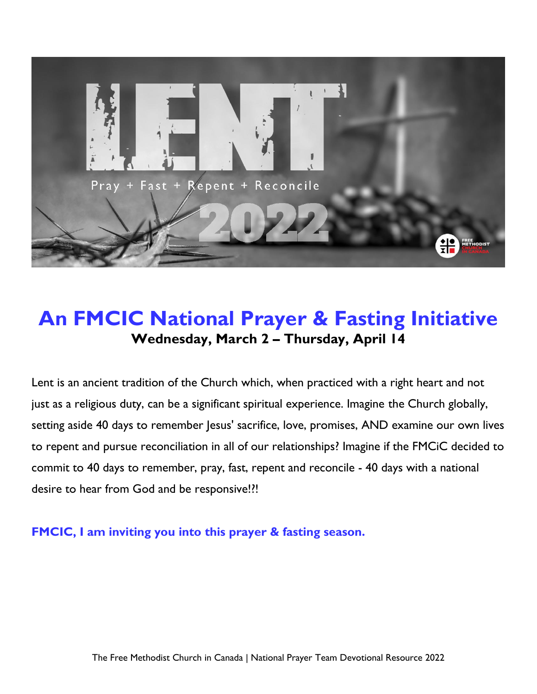

# **An FMCIC National Prayer & Fasting Initiative Wednesday, March 2 – Thursday, April 14**

Lent is an ancient tradition of the Church which, when practiced with a right heart and not just as a religious duty, can be a significant spiritual experience. Imagine the Church globally, setting aside 40 days to remember Jesus' sacrifice, love, promises, AND examine our own lives to repent and pursue reconciliation in all of our relationships? Imagine if the FMCiC decided to commit to 40 days to remember, pray, fast, repent and reconcile - 40 days with a national desire to hear from God and be responsive!?!

**FMCIC, I am inviting you into this prayer & fasting season.**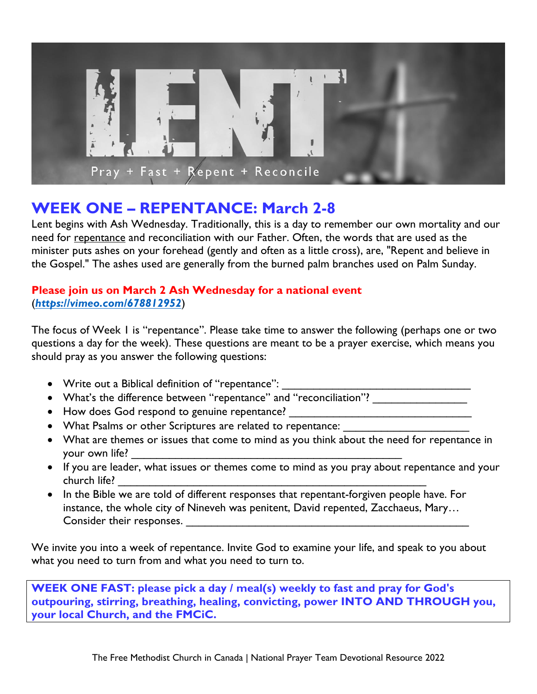

### **WEEK ONE – REPENTANCE: March 2-8**

Lent begins with Ash Wednesday. Traditionally, this is a day to remember our own mortality and our need for repentance and reconciliation with our Father. Often, the words that are used as the minister puts ashes on your forehead (gently and often as a little cross), are, "Repent and believe in the Gospel." The ashes used are generally from the burned palm branches used on Palm Sunday.

#### **Please join us on March 2 Ash Wednesday for a national event** (*<https://vimeo.com/678812952>*)

The focus of Week 1 is "repentance". Please take time to answer the following (perhaps one or two questions a day for the week). These questions are meant to be a prayer exercise, which means you should pray as you answer the following questions:

- Write out a Biblical definition of "repentance":
- What's the difference between "repentance" and "reconciliation"? \_\_\_\_\_\_\_\_\_\_\_\_\_
- How does God respond to genuine repentance?
- What Psalms or other Scriptures are related to repentance:
- What are themes or issues that come to mind as you think about the need for repentance in your own life?
- If you are leader, what issues or themes come to mind as you pray about repentance and your church life? \_\_\_\_\_\_\_\_\_\_\_\_\_\_\_\_\_\_\_\_\_\_\_\_\_\_\_\_\_\_\_\_\_\_\_\_\_\_\_\_\_\_\_\_\_\_\_\_\_
- In the Bible we are told of different responses that repentant-forgiven people have. For instance, the whole city of Nineveh was penitent, David repented, Zacchaeus, Mary… Consider their responses.

We invite you into a week of repentance. Invite God to examine your life, and speak to you about what you need to turn from and what you need to turn to.

**WEEK ONE FAST: please pick a day / meal(s) weekly to fast and pray for God's outpouring, stirring, breathing, healing, convicting, power INTO AND THROUGH you, your local Church, and the FMCiC.**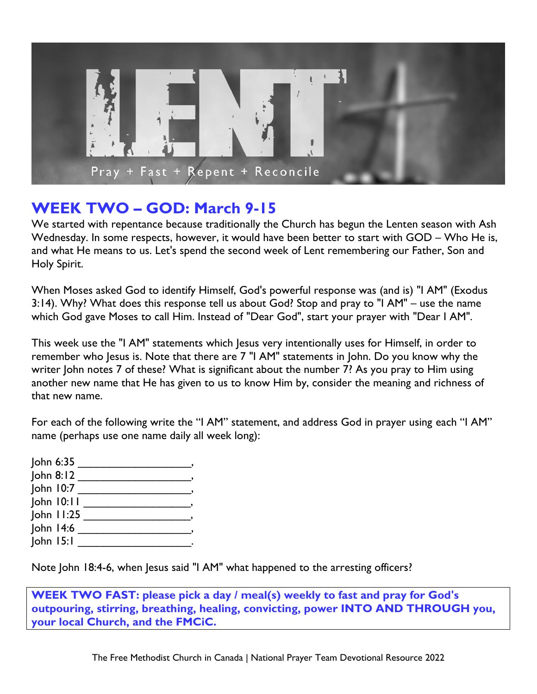

#### **WEEK TWO – GOD: March 9-15**

We started with repentance because traditionally the Church has begun the Lenten season with Ash Wednesday. In some respects, however, it would have been better to start with GOD – Who He is, and what He means to us. Let's spend the second week of Lent remembering our Father, Son and Holy Spirit.

When Moses asked God to identify Himself, God's powerful response was (and is) "I AM" (Exodus 3:14). Why? What does this response tell us about God? Stop and pray to "I AM" – use the name which God gave Moses to call Him. Instead of "Dear God", start your prayer with "Dear I AM".

This week use the "I AM" statements which Jesus very intentionally uses for Himself, in order to remember who Jesus is. Note that there are 7 "I AM" statements in John. Do you know why the writer John notes 7 of these? What is significant about the number 7? As you pray to Him using another new name that He has given to us to know Him by, consider the meaning and richness of that new name.

For each of the following write the "I AM" statement, and address God in prayer using each "I AM" name (perhaps use one name daily all week long):

| John 6:35      |  |
|----------------|--|
| John 8:12      |  |
| John 10:7      |  |
| John 10:11     |  |
| $John$ $11:25$ |  |
| John 14:6      |  |
| $John$ $15:1$  |  |

Note John 18:4-6, when Jesus said "I AM" what happened to the arresting officers?

**WEEK TWO FAST: please pick a day / meal(s) weekly to fast and pray for God's outpouring, stirring, breathing, healing, convicting, power INTO AND THROUGH you, your local Church, and the FMCiC.**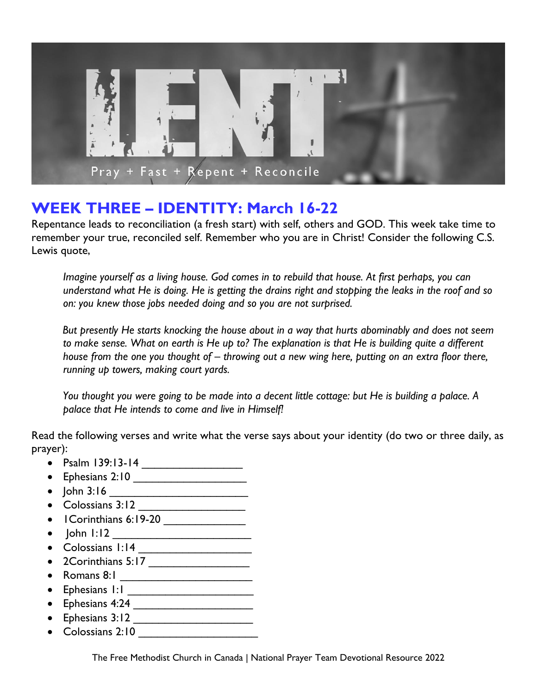

### **WEEK THREE – IDENTITY: March 16-22**

Repentance leads to reconciliation (a fresh start) with self, others and GOD. This week take time to remember your true, reconciled self. Remember who you are in Christ! Consider the following C.S. Lewis quote,

*Imagine yourself as a living house. God comes in to rebuild that house. At first perhaps, you can understand what He is doing. He is getting the drains right and stopping the leaks in the roof and so on: you knew those jobs needed doing and so you are not surprised.*

*But presently He starts knocking the house about in a way that hurts abominably and does not seem to make sense. What on earth is He up to? The explanation is that He is building quite a different house from the one you thought of – throwing out a new wing here, putting on an extra floor there, running up towers, making court yards.*

*You thought you were going to be made into a decent little cottage: but He is building a palace. A palace that He intends to come and live in Himself!* 

Read the following verses and write what the verse says about your identity (do two or three daily, as prayer):

- Psalm 139:13-14
- Ephesians 2:10 \_\_\_\_\_\_\_\_\_\_\_\_\_\_\_\_\_\_
- John 3:16  $\overline{\qquad}$
- $\bullet$  Colossians 3:12
- I Corinthians 6:19-20 \_\_\_\_\_\_\_\_\_\_\_\_\_\_\_
- John 1:12 \_\_\_\_\_\_\_\_\_\_\_\_\_\_\_\_\_\_\_\_\_\_
- Colossians 1:14 \_\_\_\_\_\_\_\_\_\_\_\_\_\_\_\_\_\_
- 2Corinthians  $5:17$  \_\_\_\_\_\_\_\_\_\_\_\_\_\_\_\_
- Romans 8:1 \_\_\_\_\_\_\_\_\_\_\_\_\_\_\_\_\_\_\_\_\_
- Ephesians 1:1 \_\_\_\_\_\_\_\_\_\_\_\_\_\_\_\_\_\_\_\_
- Ephesians 4:24 \_\_\_\_\_\_\_\_\_\_\_\_\_\_\_\_\_\_\_
- Ephesians 3:12 \_\_\_\_\_\_\_\_\_\_\_\_\_\_\_\_\_\_\_
- Colossians 2:10

The Free Methodist Church in Canada | National Prayer Team Devotional Resource 2022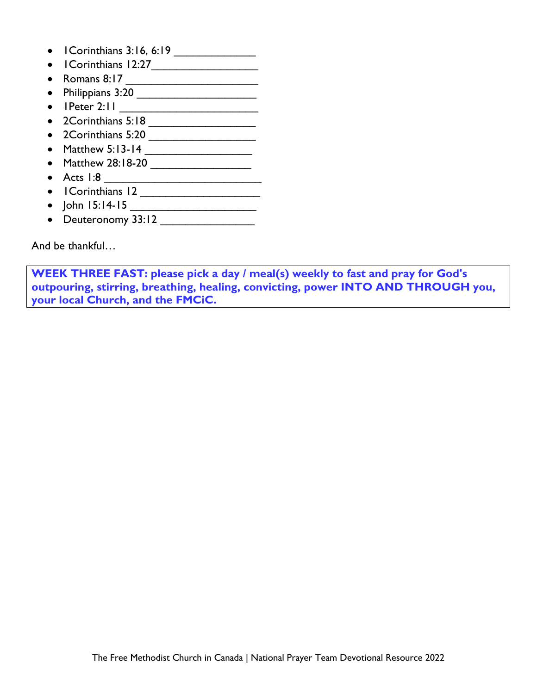- I Corinthians 3:16, 6:19
- 1Corinthians 12:27\_\_\_\_\_\_\_\_\_\_\_\_\_\_\_\_\_
- Romans 8:17
- Philippians 3:20 \_\_\_\_\_\_\_\_\_\_\_\_\_\_\_\_\_\_\_
- 1Peter 2:11 \_\_\_\_\_\_\_\_\_\_\_\_\_\_\_\_\_\_\_\_\_\_
- 2Corinthians 5:18
- 2Corinthians 5:20 \_\_\_\_\_\_\_\_\_\_\_\_\_\_\_\_\_
- Matthew 5:13-14  $\overline{\qquad \qquad }$
- Matthew 28:18-20 \_\_\_\_\_\_\_\_\_\_\_\_\_\_\_\_
- Acts 1:8 \_\_\_\_\_\_\_\_\_\_\_\_\_\_\_\_\_\_\_\_\_\_\_\_\_
- 1Corinthians 12 \_\_\_\_\_\_\_\_\_\_\_\_\_\_\_\_\_\_\_
- John 15:14-15 \_\_\_\_\_\_\_\_\_\_\_\_\_\_\_\_\_\_\_\_
- Deuteronomy 33:12 \_\_\_\_\_\_\_\_\_\_\_\_\_\_\_

And be thankful…

**WEEK THREE FAST: please pick a day / meal(s) weekly to fast and pray for God's outpouring, stirring, breathing, healing, convicting, power INTO AND THROUGH you, your local Church, and the FMCiC.**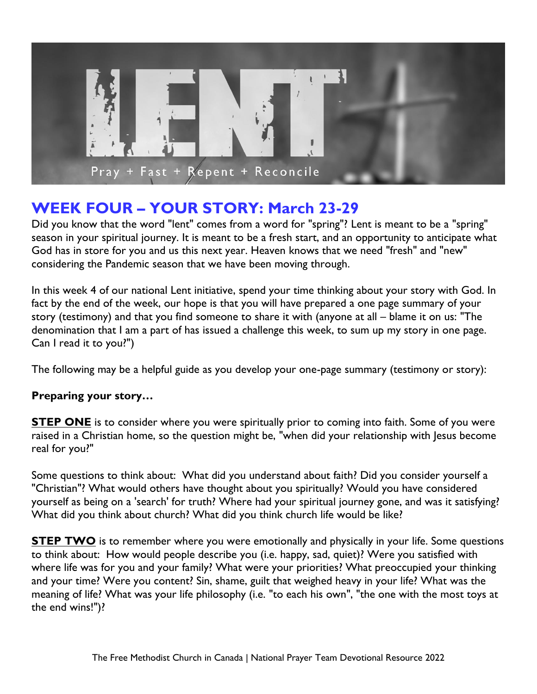

# **WEEK FOUR – YOUR STORY: March 23-29**

Did you know that the word "lent" comes from a word for "spring"? Lent is meant to be a "spring" season in your spiritual journey. It is meant to be a fresh start, and an opportunity to anticipate what God has in store for you and us this next year. Heaven knows that we need "fresh" and "new" considering the Pandemic season that we have been moving through.

In this week 4 of our national Lent initiative, spend your time thinking about your story with God. In fact by the end of the week, our hope is that you will have prepared a one page summary of your story (testimony) and that you find someone to share it with (anyone at all – blame it on us: "The denomination that I am a part of has issued a challenge this week, to sum up my story in one page. Can I read it to you?")

The following may be a helpful guide as you develop your one-page summary (testimony or story):

#### **Preparing your story…**

**STEP ONE** is to consider where you were spiritually prior to coming into faith. Some of you were raised in a Christian home, so the question might be, "when did your relationship with Jesus become real for you?"

Some questions to think about: What did you understand about faith? Did you consider yourself a "Christian"? What would others have thought about you spiritually? Would you have considered yourself as being on a 'search' for truth? Where had your spiritual journey gone, and was it satisfying? What did you think about church? What did you think church life would be like?

**STEP TWO** is to remember where you were emotionally and physically in your life. Some questions to think about: How would people describe you (i.e. happy, sad, quiet)? Were you satisfied with where life was for you and your family? What were your priorities? What preoccupied your thinking and your time? Were you content? Sin, shame, guilt that weighed heavy in your life? What was the meaning of life? What was your life philosophy (i.e. "to each his own", "the one with the most toys at the end wins!")?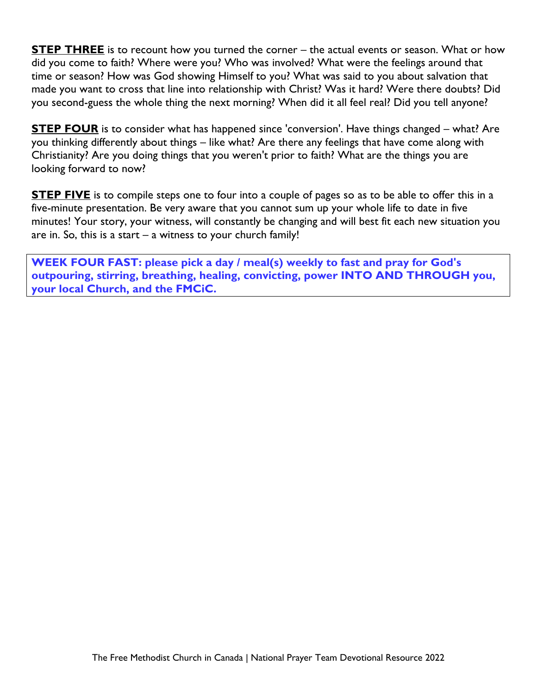**STEP THREE** is to recount how you turned the corner – the actual events or season. What or how did you come to faith? Where were you? Who was involved? What were the feelings around that time or season? How was God showing Himself to you? What was said to you about salvation that made you want to cross that line into relationship with Christ? Was it hard? Were there doubts? Did you second-guess the whole thing the next morning? When did it all feel real? Did you tell anyone?

**STEP FOUR** is to consider what has happened since 'conversion'. Have things changed – what? Are you thinking differently about things – like what? Are there any feelings that have come along with Christianity? Are you doing things that you weren't prior to faith? What are the things you are looking forward to now?

**STEP FIVE** is to compile steps one to four into a couple of pages so as to be able to offer this in a five-minute presentation. Be very aware that you cannot sum up your whole life to date in five minutes! Your story, your witness, will constantly be changing and will best fit each new situation you are in. So, this is a start  $-$  a witness to your church family!

**WEEK FOUR FAST: please pick a day / meal(s) weekly to fast and pray for God's outpouring, stirring, breathing, healing, convicting, power INTO AND THROUGH you, your local Church, and the FMCiC.**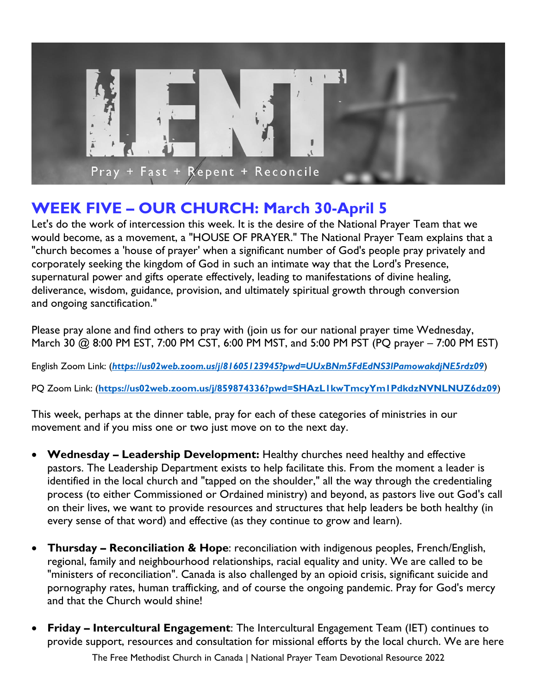

# **WEEK FIVE – OUR CHURCH: March 30-April 5**

Let's do the work of intercession this week. It is the desire of the National Prayer Team that we would become, as a movement, a "HOUSE OF PRAYER." The National Prayer Team explains that a "church becomes a 'house of prayer' when a significant number of God's people pray privately and corporately seeking the kingdom of God in such an intimate way that the Lord's Presence, supernatural power and gifts operate effectively, leading to manifestations of divine healing, deliverance, wisdom, guidance, provision, and ultimately spiritual growth through conversion and ongoing sanctification."

Please pray alone and find others to pray with (join us for our national prayer time Wednesday, March 30 @ 8:00 PM EST, 7:00 PM CST, 6:00 PM MST, and 5:00 PM PST (PQ prayer – 7:00 PM EST)

English Zoom Link: (*<https://us02web.zoom.us/j/81605123945?pwd=UUxBNm5FdEdNS3lPamowakdjNE5rdz09>*)

PQ Zoom Link: (**<https://us02web.zoom.us/j/859874336?pwd=SHAzL1kwTmcyYm1PdkdzNVNLNUZ6dz09>**)

This week, perhaps at the dinner table, pray for each of these categories of ministries in our movement and if you miss one or two just move on to the next day.

- **Wednesday – Leadership Development:** Healthy churches need healthy and effective pastors. The Leadership Department exists to help facilitate this. From the moment a leader is identified in the local church and "tapped on the shoulder," all the way through the credentialing process (to either Commissioned or Ordained ministry) and beyond, as pastors live out God's call on their lives, we want to provide resources and structures that help leaders be both healthy (in every sense of that word) and effective (as they continue to grow and learn).
- **Thursday – Reconciliation & Hope**: reconciliation with indigenous peoples, French/English, regional, family and neighbourhood relationships, racial equality and unity. We are called to be "ministers of reconciliation". Canada is also challenged by an opioid crisis, significant suicide and pornography rates, human trafficking, and of course the ongoing pandemic. Pray for God's mercy and that the Church would shine!
- **Friday – Intercultural Engagement**: The Intercultural Engagement Team (IET) continues to provide support, resources and consultation for missional efforts by the local church. We are here

The Free Methodist Church in Canada | National Prayer Team Devotional Resource 2022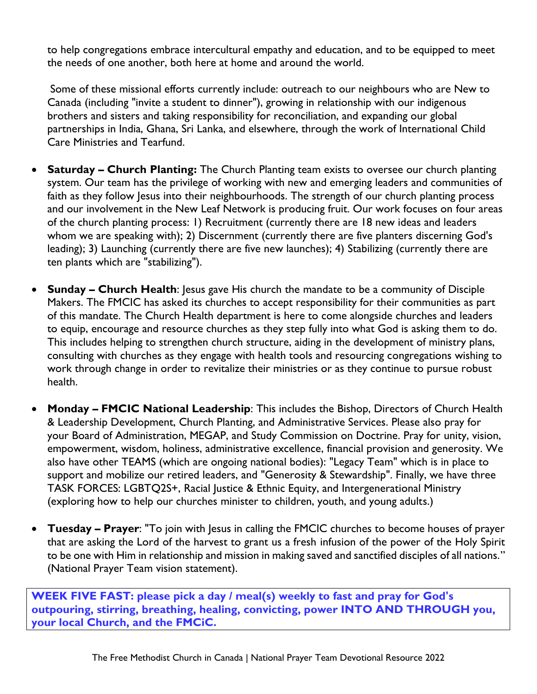to help congregations embrace intercultural empathy and education, and to be equipped to meet the needs of one another, both here at home and around the world.

Some of these missional efforts currently include: outreach to our neighbours who are New to Canada (including "invite a student to dinner"), growing in relationship with our indigenous brothers and sisters and taking responsibility for reconciliation, and expanding our global partnerships in India, Ghana, Sri Lanka, and elsewhere, through the work of International Child Care Ministries and Tearfund.

- **Saturday – Church Planting:** The Church Planting team exists to oversee our church planting system. Our team has the privilege of working with new and emerging leaders and communities of faith as they follow Jesus into their neighbourhoods. The strength of our church planting process and our involvement in the New Leaf Network is producing fruit. Our work focuses on four areas of the church planting process: 1) Recruitment (currently there are 18 new ideas and leaders whom we are speaking with); 2) Discernment (currently there are five planters discerning God's leading); 3) Launching (currently there are five new launches); 4) Stabilizing (currently there are ten plants which are "stabilizing").
- **Sunday – Church Health**: Jesus gave His church the mandate to be a community of Disciple Makers. The FMCIC has asked its churches to accept responsibility for their communities as part of this mandate. The Church Health department is here to come alongside churches and leaders to equip, encourage and resource churches as they step fully into what God is asking them to do. This includes helping to strengthen church structure, aiding in the development of ministry plans, consulting with churches as they engage with health tools and resourcing congregations wishing to work through change in order to revitalize their ministries or as they continue to pursue robust health.
- **Monday – FMCIC National Leadership**: This includes the Bishop, Directors of Church Health & Leadership Development, Church Planting, and Administrative Services. Please also pray for your Board of Administration, MEGAP, and Study Commission on Doctrine. Pray for unity, vision, empowerment, wisdom, holiness, administrative excellence, financial provision and generosity. We also have other TEAMS (which are ongoing national bodies): "Legacy Team" which is in place to support and mobilize our retired leaders, and "Generosity & Stewardship". Finally, we have three TASK FORCES: LGBTQ2S+, Racial Justice & Ethnic Equity, and Intergenerational Ministry (exploring how to help our churches minister to children, youth, and young adults.)
- **Tuesday – Prayer**: "To join with Jesus in calling the FMCIC churches to become houses of prayer that are asking the Lord of the harvest to grant us a fresh infusion of the power of the Holy Spirit to be one with Him in relationship and mission in making saved and sanctified disciples of all nations." (National Prayer Team vision statement).

**WEEK FIVE FAST: please pick a day / meal(s) weekly to fast and pray for God's outpouring, stirring, breathing, healing, convicting, power INTO AND THROUGH you, your local Church, and the FMCiC.**